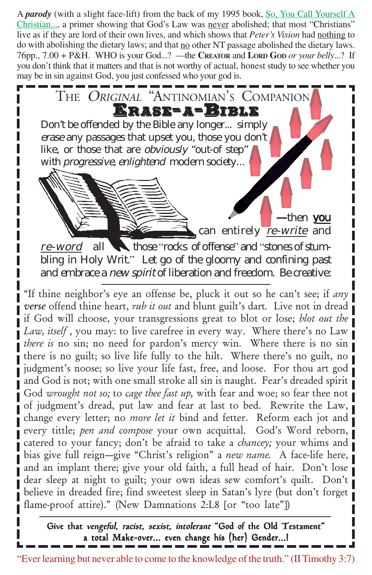A *parody* (with a slight face-lift) from the back of my 1995 book, So, You Call Yourself A Christian..., a primer showing that God's Law was never abolished; that most "Christians" live as if they are lord of their own lives, and which shows that *Peter's Vision* had nothing to do with abolishing the dietary laws; and that no other NT passage abolished the dietary laws. 76pp., 7.00 + P&H. WHO is your God...? —the **CREATOR** and **LORD GOD** *or your belly*...? If you don't think that it matters and that is not worthy of actual, honest study to see whether you may be in sin against God, you just confessed who your god is.

ERASE=A=BII THE *Original* "Antinomian's Companion -then you can entirely re-write and re-word all **those "rocks of offense" and "stones of stum**bling in Holy Writ." Let go of the gloomy and confining past and embrace a new spirit of liberation and freedom. Be creative: Don't be offended by the Bible any longer... simply erase any passages that upset you, those you don't like, or those that are obviously "out-of step" with *progressive*, enlightend modern society...

"If thine neighbor's eye an offense be, pluck it out so he can't see; if *any verse* offend thine heart, *rub it out* and blunt guilt's dart*.* Live not in dread if God will choose, your transgressions great to blot or lose; *blot out the Law, itself*, you may: to live carefree in every way. Where there's no Law *there is* no sin; no need for pardon's mercy win. Where there is no sin there is no guilt; so live life fully to the hilt. Where there's no guilt, no judgment's noose; so live your life fast, free, and loose. For thou art god and God is not; with one small stroke all sin is naught. Fear's dreaded spirit God *wrought not so;* to *cage thee fast up,* with fear and woe; so fear thee not of judgment's dread, put law and fear at last to bed. Rewrite the Law, change every letter; no *more let it* bind and fetter. Reform each jot and every tittle; *pen and compose* your own acquittal. God's Word reborn, catered to your fancy; don't be afraid to take a *chancey;* your whims and bias give full reign—give "Christ's religion" a *new name.* A face-life here, and an implant there; give your old faith, a full head of hair. Don't lose dear sleep at night to guilt; your own ideas sew comfort's quilt. Don't believe in dreaded fire; find sweetest sleep in Satan's lyre (but don't forget flame-proof attire)." (New Damnations 2:L8 [or "too late"])

Give that vengeful, racist, sexist, intolerant "God of the Old Testament" a total Make-over... even change his (her) Gender...!

"Ever learning but never able to come to the knowledge of the truth." (II Timothy 3:7)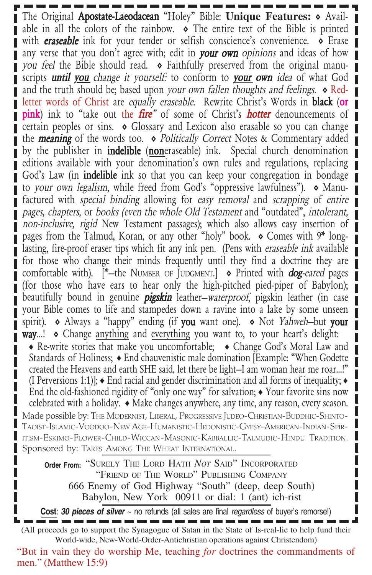The Original **Apostate-Laeodacean** "Holey" Bible: **Unique Features:** • Available in all the colors of the rainbow.  $\bullet$  The entire text of the Bible is printed with **eraseable** ink for your tender or selfish conscience's convenience.  $\diamond$  Erase any verse that you don't agree with; edit in **your own** opinions and ideas of how you feel the Bible should read.  $\bullet$  Faithfully preserved from the original manuscripts **until you** change it yourself: to conform to **your own** idea of what God and the truth should be; based upon your own fallen thoughts and feelings.  $\diamond$  Redletter words of Christ are equally eraseable. Rewrite Christ's Words in **black** (or pink) ink to "take out the fire" of some of Christ's *hotter* denouncements of certain peoples or sins.  $\diamond$  Glossary and Lexicon also erasable so you can change the **meaning** of the words too.  $\diamond$  *Politically Correct* Notes & Commentary added by the publisher in **indelible** (**non**eraseable) ink. Special church denomination editions available with your denomination's own rules and regulations, replacing God's Law (in **indelible** ink so that you can keep your congregation in bondage to your own legalism, while freed from God's "oppressive lawfulness").  $\diamond$  Manufactured with special binding allowing for easy removal and scrapping of entire pages, chapters, or books (even the whole Old Testament and "outdated", intolerant, non-inclusive, rigid New Testament passages); which also allows easy insertion of pages from the Talmud, Koran, or any other "holy" book.  $\diamond$  Comes with 9\* longlasting, fire-proof eraser tips which fit any ink pen. (Pens with eraseable ink available for those who change their minds frequently until they find a doctrine they are comfortable with).  $[^*$ -the NUMBER OF JUDGMENT.  $\bullet$  Printed with **dog**-eared pages П (for those who have ears to hear only the high-pitched pied-piper of Babylon); beautifully bound in genuine *pigskin* leather—waterproof, pigskin leather (in case your Bible comes to life and stampedes down a ravine into a lake by some unseen spirit). • Always a "happy" ending (if you want one). • Not Yahweh-but your **way...!**  $\diamond$  Change anything and everything you want to, to your heart's delight: П  $\bullet$  Re-write stories that make you uncomfortable;  $\bullet$  Change God's Moral Law and Standards of Holiness;  $\triangle$  End chauvenistic male domination [Example: "When Godette created the Heavens and earth SHE said, let there be light—I am woman hear me roar...!" (I Perversions 1:1)];  $\triangleleft$  End racial and gender discrimination and all forms of inequality;  $\triangleleft$ End the old-fashioned rigidity of "only one way" for salvation;  $\bullet$  Your favorite sins now celebrated with a holiday.  $\triangleleft$  Make changes anywhere, any time, any reason, every season. Made possible by: THE MODERNIST, LIBERAL, PROGRESSIVE JUDEO-CHRISTIAN-BUDDHIC-SHINTO-TAOIST-ISLAMIC-VOODOO-NEW AGE-HUMANISTIC-HEDONISTIC-GYPSY-AMERICAN-INDIAN-SPIR-ITISM-ESKIMO-FLOWER-CHILD-WICCAN-MASONIC-KABBALLIC-TALMUDIC-HINDU TRADITION. Sponsored by: TARES AMONG THE WHEAT INTERNATIONAL.

"SURELY THE LORD HATH *NOT* SAID" INCORPORATED **Order From:** "FRIEND OF THE WORLD" PUBLISHING COMPANY 666 Enemy of God Highway "South" (deep, deep South) Babylon, New York 00911 or dial: 1 (ant) ich-rist

**Cost**: *30 pieces of silver* ~ no refunds (all sales are final *regardless* of buyer's remorse!)

(All proceeds go to support the Synagogue of Satan in the State of Is-real-lie to help fund their World-wide, New-World-Order-Antichristian operations against Christendom)

"But in vain they do worship Me, teaching *for* doctrines the commandments of men." (Matthew 15:9)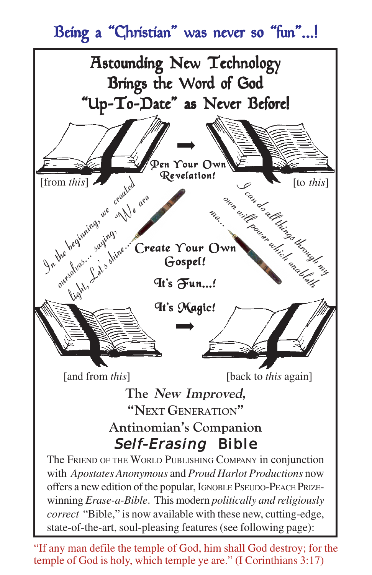# Being a "Christian" was never so "fun"...!



"If any man defile the temple of God, him shall God destroy; for the temple of God is holy, which temple ye are." (I Corinthians 3:17)